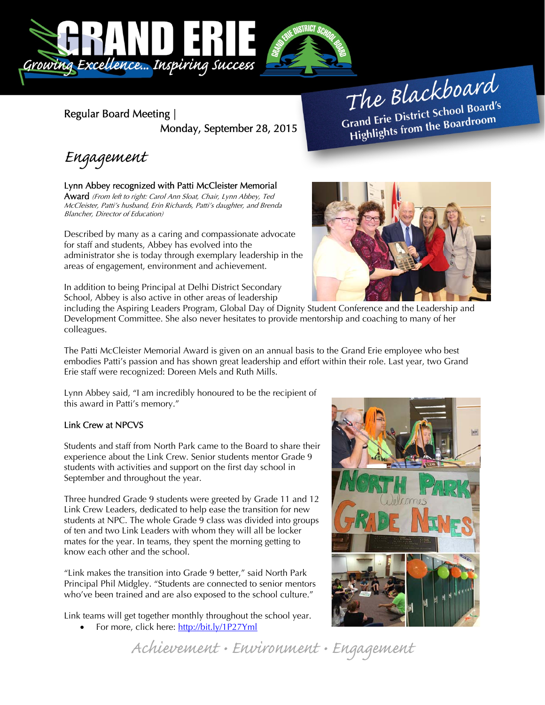

Regular Board Meeting | Monday, September 28, 2015

The Blackboard The Burnor<br>Grand Erie District School Board's<br>Little from the Boardroom rand Erie District School Board<br>Highlights from the Boardroom

Engagement

### Lynn Abbey recognized with Patti McCleister Memorial

Award (From left to right: Carol Ann Sloat, Chair, Lynn Abbey, Ted McCleister, Patti's husband, Erin Richards, Patti's daughter, and Brenda Blancher, Director of Education)

Described by many as a caring and compassionate advocate for staff and students, Abbey has evolved into the administrator she is today through exemplary leadership in the areas of engagement, environment and achievement.

In addition to being Principal at Delhi District Secondary School, Abbey is also active in other areas of leadership



including the Aspiring Leaders Program, Global Day of Dignity Student Conference and the Leadership and Development Committee. She also never hesitates to provide mentorship and coaching to many of her colleagues.

The Patti McCleister Memorial Award is given on an annual basis to the Grand Erie employee who best embodies Patti's passion and has shown great leadership and effort within their role. Last year, two Grand Erie staff were recognized: Doreen Mels and Ruth Mills.

Lynn Abbey said, "I am incredibly honoured to be the recipient of this award in Patti's memory."

### Link Crew at NPCVS

Students and staff from North Park came to the Board to share their experience about the Link Crew. Senior students mentor Grade 9 students with activities and support on the first day school in September and throughout the year.

Three hundred Grade 9 students were greeted by Grade 11 and 12 Link Crew Leaders, dedicated to help ease the transition for new students at NPC. The whole Grade 9 class was divided into groups of ten and two Link Leaders with whom they will all be locker mates for the year. In teams, they spent the morning getting to know each other and the school.

"Link makes the transition into Grade 9 better," said North Park Principal Phil Midgley. "Students are connected to senior mentors who've been trained and are also exposed to the school culture."

Link teams will get together monthly throughout the school year.

For more, click here: http://bit.ly/1P27Yml



Achievement • Environment • Engagement